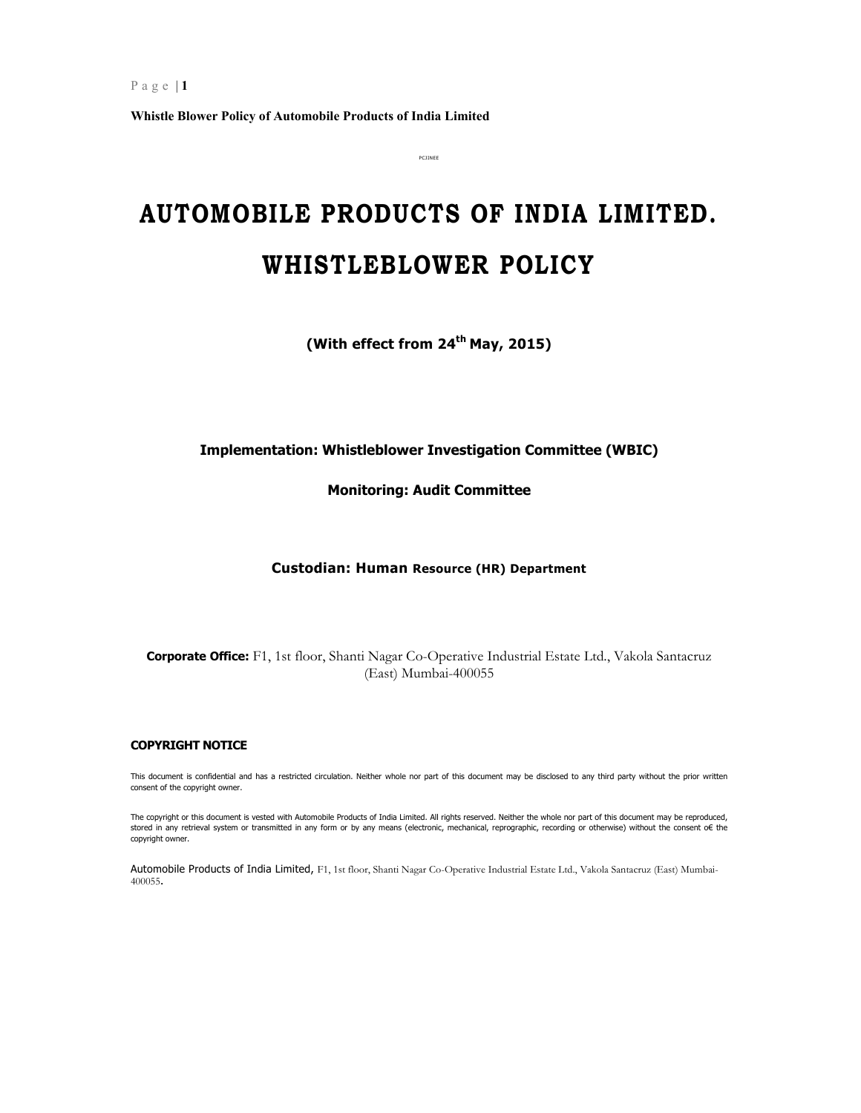# **AUTOMOBILE PRODUCTS OF INDIA LIMITED. WHISTLEBLOWER POLICY**

PCJINEE

**(With effect from 24th May, 2015)** 

# **Implementation: Whistleblower Investigation Committee (WBIC)**

**Monitoring: Audit Committee** 

**Custodian: Human Resource (HR) Department** 

**Corporate Office:** F1, 1st floor, Shanti Nagar Co-Operative Industrial Estate Ltd., Vakola Santacruz (East) Mumbai-400055

#### **COPYRIGHT NOTICE**

This document is confidential and has a restricted circulation. Neither whole nor part of this document may be disclosed to any third party without the prior written consent of the copyright owner.

The copyright or this document is vested with Automobile Products of India Limited. All rights reserved. Neither the whole nor part of this document may be reproduced, stored in any retrieval system or transmitted in any form or by any means (electronic, mechanical, reprographic, recording or otherwise) without the consent o€ the copyright owner.

Automobile Products of India Limited, F1, 1st floor, Shanti Nagar Co-Operative Industrial Estate Ltd., Vakola Santacruz (East) Mumbai-400055.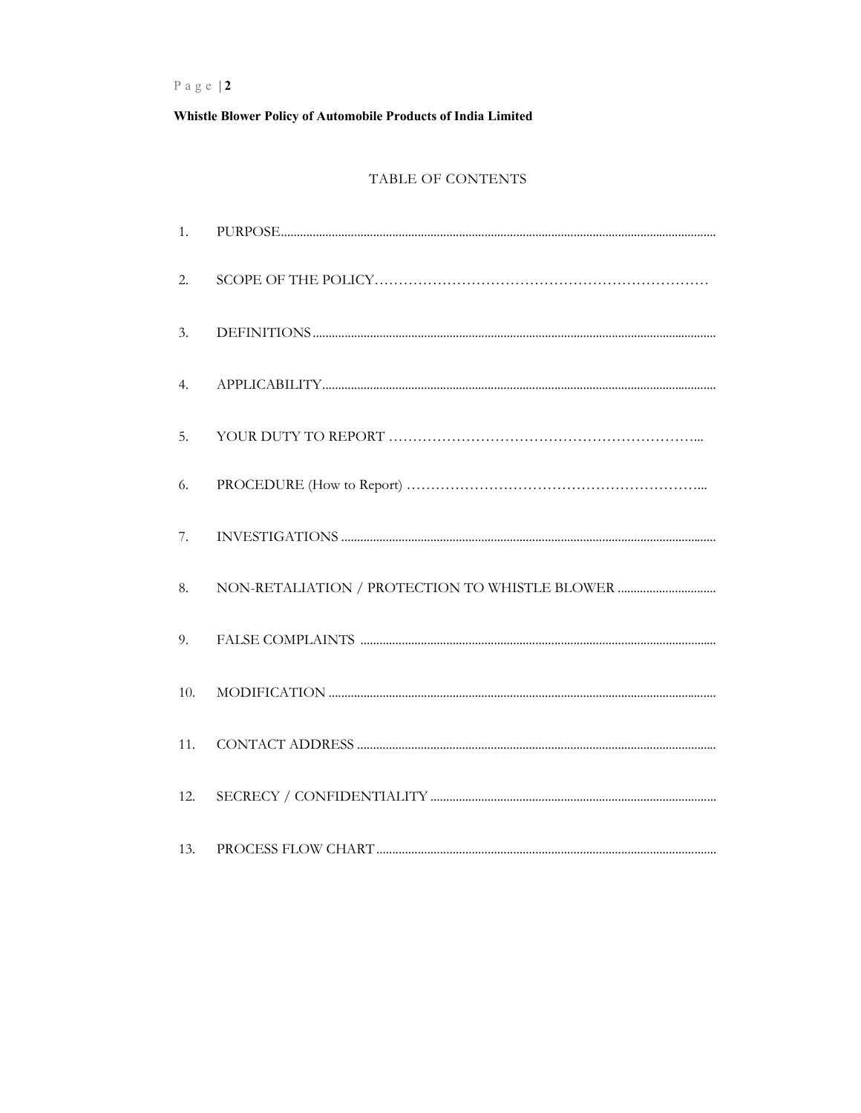Whistle Blower Policy of Automobile Products of India Limited

# TABLE OF CONTENTS

| 1.  |                                                                                                                                                                                                                                                                                                                                                        |
|-----|--------------------------------------------------------------------------------------------------------------------------------------------------------------------------------------------------------------------------------------------------------------------------------------------------------------------------------------------------------|
| 2.  |                                                                                                                                                                                                                                                                                                                                                        |
| 3.  |                                                                                                                                                                                                                                                                                                                                                        |
| 4.  |                                                                                                                                                                                                                                                                                                                                                        |
| 5.  |                                                                                                                                                                                                                                                                                                                                                        |
| 6.  |                                                                                                                                                                                                                                                                                                                                                        |
| 7.  |                                                                                                                                                                                                                                                                                                                                                        |
| 8.  |                                                                                                                                                                                                                                                                                                                                                        |
| 9.  |                                                                                                                                                                                                                                                                                                                                                        |
| 10. |                                                                                                                                                                                                                                                                                                                                                        |
| 11. |                                                                                                                                                                                                                                                                                                                                                        |
| 12. |                                                                                                                                                                                                                                                                                                                                                        |
| 13. | ${\tt PROCESS\ FLOW\ CHART}\textrm{}\textrm{}\textrm{}\textrm{}\textrm{}\textrm{}\textrm{}\textrm{}\textrm{}\textrm{}\textrm{}\textrm{}\textrm{}\textrm{}\textrm{}\textrm{}\textrm{}\textrm{}\textrm{}\textrm{}\textrm{}\textrm{}\textrm{}\textrm{}\textrm{}\textrm{}\textrm{}\textrm{}\textrm{}\textrm{}\textrm{}\textrm{}\textrm{}\textrm{}\textrm{$ |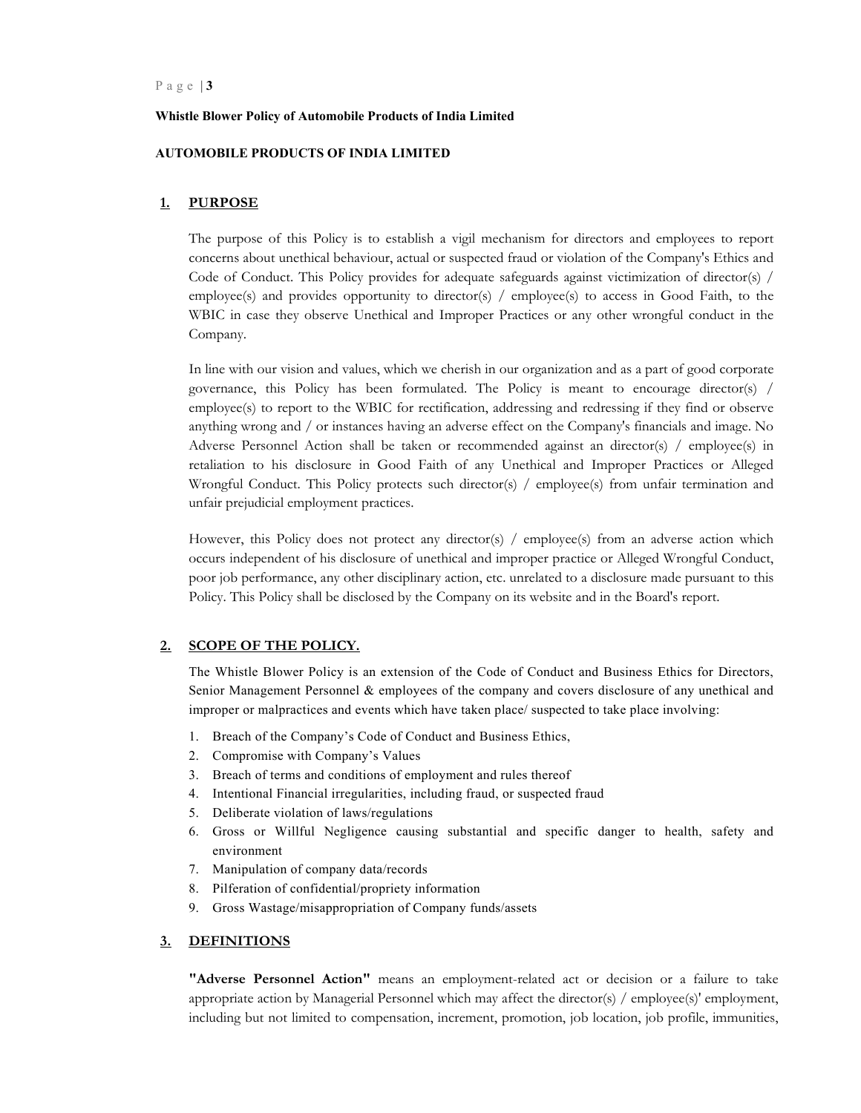#### **Whistle Blower Policy of Automobile Products of India Limited**

#### **AUTOMOBILE PRODUCTS OF INDIA LIMITED**

#### **1. PURPOSE**

The purpose of this Policy is to establish a vigil mechanism for directors and employees to report concerns about unethical behaviour, actual or suspected fraud or violation of the Company's Ethics and Code of Conduct. This Policy provides for adequate safeguards against victimization of director(s) / employee(s) and provides opportunity to director(s) / employee(s) to access in Good Faith, to the WBIC in case they observe Unethical and Improper Practices or any other wrongful conduct in the Company.

In line with our vision and values, which we cherish in our organization and as a part of good corporate governance, this Policy has been formulated. The Policy is meant to encourage director(s) / employee(s) to report to the WBIC for rectification, addressing and redressing if they find or observe anything wrong and / or instances having an adverse effect on the Company's financials and image. No Adverse Personnel Action shall be taken or recommended against an director(s) / employee(s) in retaliation to his disclosure in Good Faith of any Unethical and Improper Practices or Alleged Wrongful Conduct. This Policy protects such director(s) / employee(s) from unfair termination and unfair prejudicial employment practices.

However, this Policy does not protect any director(s) / employee(s) from an adverse action which occurs independent of his disclosure of unethical and improper practice or Alleged Wrongful Conduct, poor job performance, any other disciplinary action, etc. unrelated to a disclosure made pursuant to this Policy. This Policy shall be disclosed by the Company on its website and in the Board's report.

#### **2. SCOPE OF THE POLICY.**

The Whistle Blower Policy is an extension of the Code of Conduct and Business Ethics for Directors, Senior Management Personnel & employees of the company and covers disclosure of any unethical and improper or malpractices and events which have taken place/ suspected to take place involving:

- 1. Breach of the Company's Code of Conduct and Business Ethics,
- 2. Compromise with Company's Values
- 3. Breach of terms and conditions of employment and rules thereof
- 4. Intentional Financial irregularities, including fraud, or suspected fraud
- 5. Deliberate violation of laws/regulations
- 6. Gross or Willful Negligence causing substantial and specific danger to health, safety and environment
- 7. Manipulation of company data/records
- 8. Pilferation of confidential/propriety information
- 9. Gross Wastage/misappropriation of Company funds/assets

## **3. DEFINITIONS**

**"Adverse Personnel Action"** means an employment-related act or decision or a failure to take appropriate action by Managerial Personnel which may affect the director(s) / employee(s)' employment, including but not limited to compensation, increment, promotion, job location, job profile, immunities,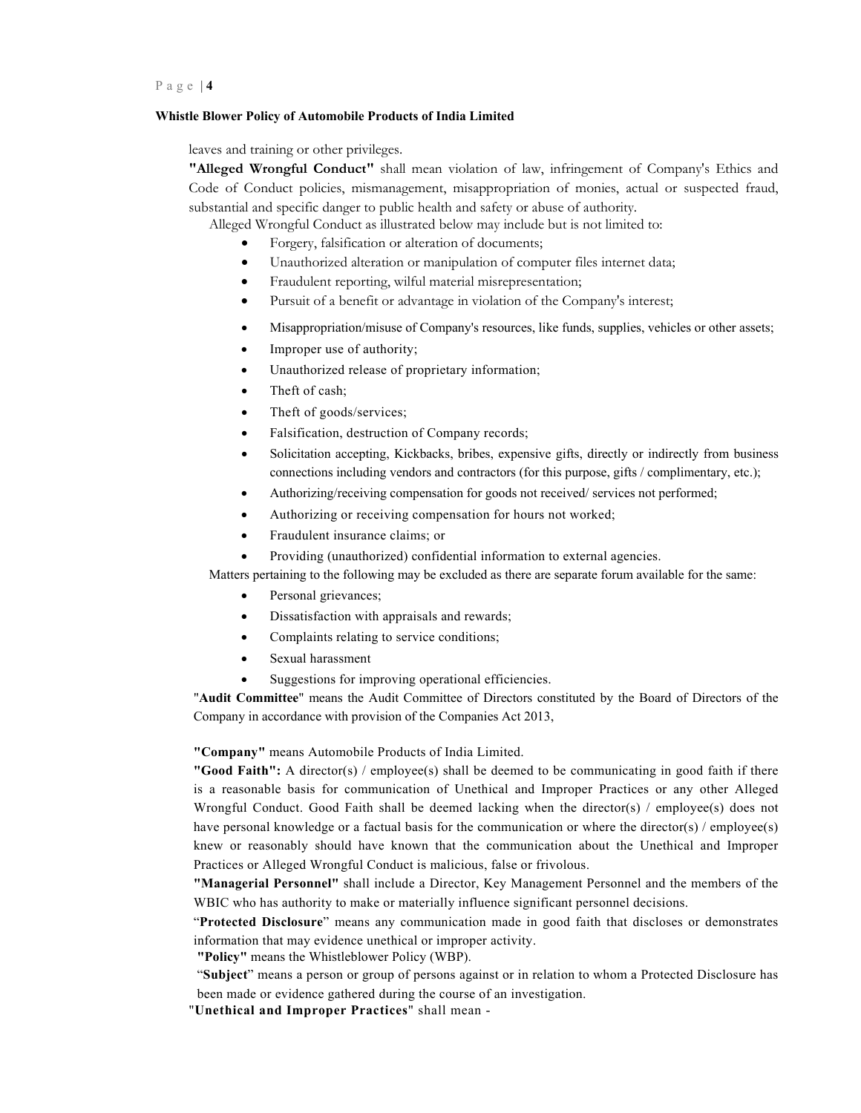#### **Whistle Blower Policy of Automobile Products of India Limited**

leaves and training or other privileges.

**"Alleged Wrongful Conduct"** shall mean violation of law, infringement of Company's Ethics and Code of Conduct policies, mismanagement, misappropriation of monies, actual or suspected fraud, substantial and specific danger to public health and safety or abuse of authority.

Alleged Wrongful Conduct as illustrated below may include but is not limited to:

- Forgery, falsification or alteration of documents;
- Unauthorized alteration or manipulation of computer files internet data;
- Fraudulent reporting, wilful material misrepresentation;
- Pursuit of a benefit or advantage in violation of the Company's interest;
- Misappropriation/misuse of Company's resources, like funds, supplies, vehicles or other assets;
- Improper use of authority;
- Unauthorized release of proprietary information;
- Theft of cash:
- Theft of goods/services;
- Falsification, destruction of Company records;
- Solicitation accepting, Kickbacks, bribes, expensive gifts, directly or indirectly from business connections including vendors and contractors (for this purpose, gifts / complimentary, etc.);
- Authorizing/receiving compensation for goods not received/ services not performed;
- Authorizing or receiving compensation for hours not worked;
- Fraudulent insurance claims; or
- Providing (unauthorized) confidential information to external agencies.
- Matters pertaining to the following may be excluded as there are separate forum available for the same:
	- Personal grievances;
	- Dissatisfaction with appraisals and rewards;
	- Complaints relating to service conditions;
	- Sexual harassment
	- Suggestions for improving operational efficiencies.

"**Audit Committee**" means the Audit Committee of Directors constituted by the Board of Directors of the Company in accordance with provision of the Companies Act 2013,

**"Company"** means Automobile Products of India Limited.

**"Good Faith":** A director(s) / employee(s) shall be deemed to be communicating in good faith if there is a reasonable basis for communication of Unethical and Improper Practices or any other Alleged Wrongful Conduct. Good Faith shall be deemed lacking when the director(s) / employee(s) does not have personal knowledge or a factual basis for the communication or where the director(s) / employee(s) knew or reasonably should have known that the communication about the Unethical and Improper Practices or Alleged Wrongful Conduct is malicious, false or frivolous.

**"Managerial Personnel"** shall include a Director, Key Management Personnel and the members of the WBIC who has authority to make or materially influence significant personnel decisions.

"**Protected Disclosure**" means any communication made in good faith that discloses or demonstrates information that may evidence unethical or improper activity.

**"Policy"** means the Whistleblower Policy (WBP).

"**Subject**" means a person or group of persons against or in relation to whom a Protected Disclosure has been made or evidence gathered during the course of an investigation.

"**Unethical and Improper Practices**" shall mean -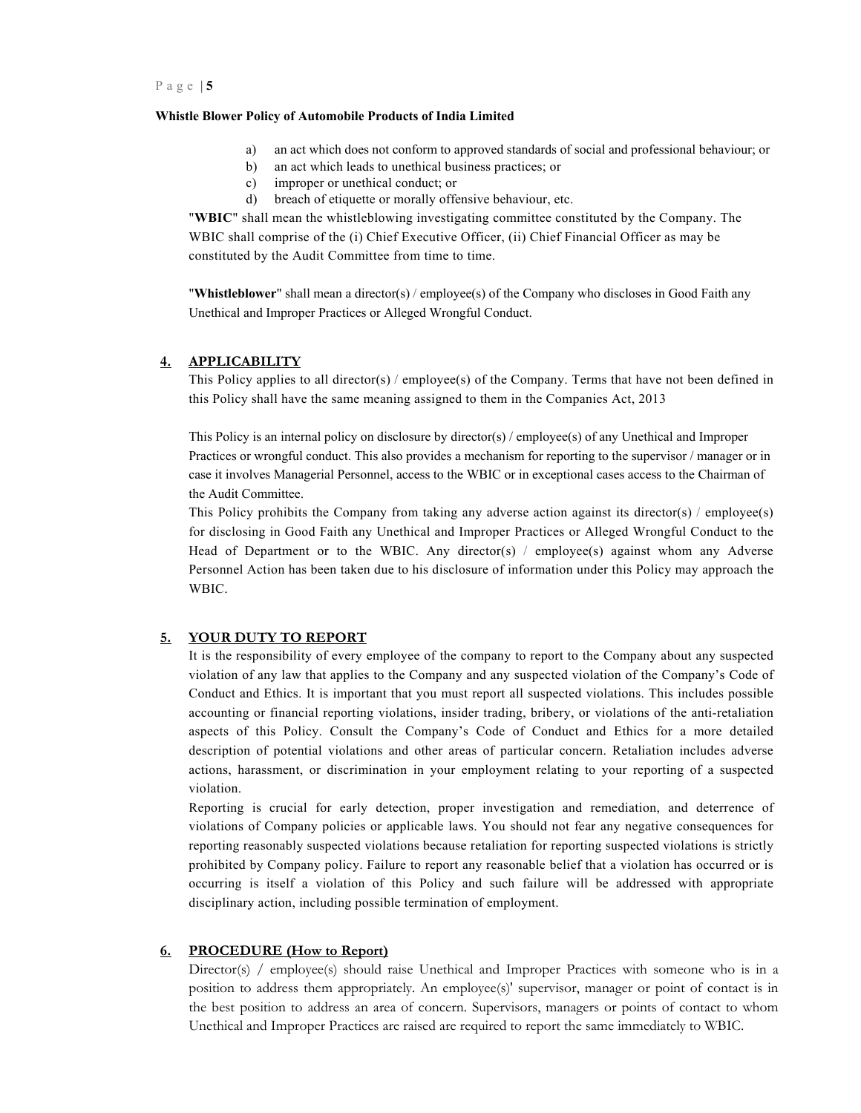- a) an act which does not conform to approved standards of social and professional behaviour; or
- b) an act which leads to unethical business practices; or
- c) improper or unethical conduct; or
- d) breach of etiquette or morally offensive behaviour, etc.

"**WBIC**" shall mean the whistleblowing investigating committee constituted by the Company. The WBIC shall comprise of the (i) Chief Executive Officer, (ii) Chief Financial Officer as may be constituted by the Audit Committee from time to time.

"**Whistleblower**" shall mean a director(s) / employee(s) of the Company who discloses in Good Faith any Unethical and Improper Practices or Alleged Wrongful Conduct.

#### **4. APPLICABILITY**

This Policy applies to all director(s) / employee(s) of the Company. Terms that have not been defined in this Policy shall have the same meaning assigned to them in the Companies Act, 2013

This Policy is an internal policy on disclosure by director(s) / employee(s) of any Unethical and Improper Practices or wrongful conduct. This also provides a mechanism for reporting to the supervisor / manager or in case it involves Managerial Personnel, access to the WBIC or in exceptional cases access to the Chairman of the Audit Committee.

This Policy prohibits the Company from taking any adverse action against its director(s) / employee(s) for disclosing in Good Faith any Unethical and Improper Practices or Alleged Wrongful Conduct to the Head of Department or to the WBIC. Any director(s) / employee(s) against whom any Adverse Personnel Action has been taken due to his disclosure of information under this Policy may approach the WBIC.

#### **5. YOUR DUTY TO REPORT**

It is the responsibility of every employee of the company to report to the Company about any suspected violation of any law that applies to the Company and any suspected violation of the Company's Code of Conduct and Ethics. It is important that you must report all suspected violations. This includes possible accounting or financial reporting violations, insider trading, bribery, or violations of the anti-retaliation aspects of this Policy. Consult the Company's Code of Conduct and Ethics for a more detailed description of potential violations and other areas of particular concern. Retaliation includes adverse actions, harassment, or discrimination in your employment relating to your reporting of a suspected violation.

Reporting is crucial for early detection, proper investigation and remediation, and deterrence of violations of Company policies or applicable laws. You should not fear any negative consequences for reporting reasonably suspected violations because retaliation for reporting suspected violations is strictly prohibited by Company policy. Failure to report any reasonable belief that a violation has occurred or is occurring is itself a violation of this Policy and such failure will be addressed with appropriate disciplinary action, including possible termination of employment.

## **6. PROCEDURE (How to Report)**

Director(s) / employee(s) should raise Unethical and Improper Practices with someone who is in a position to address them appropriately. An employee(s)' supervisor, manager or point of contact is in the best position to address an area of concern. Supervisors, managers or points of contact to whom Unethical and Improper Practices are raised are required to report the same immediately to WBIC.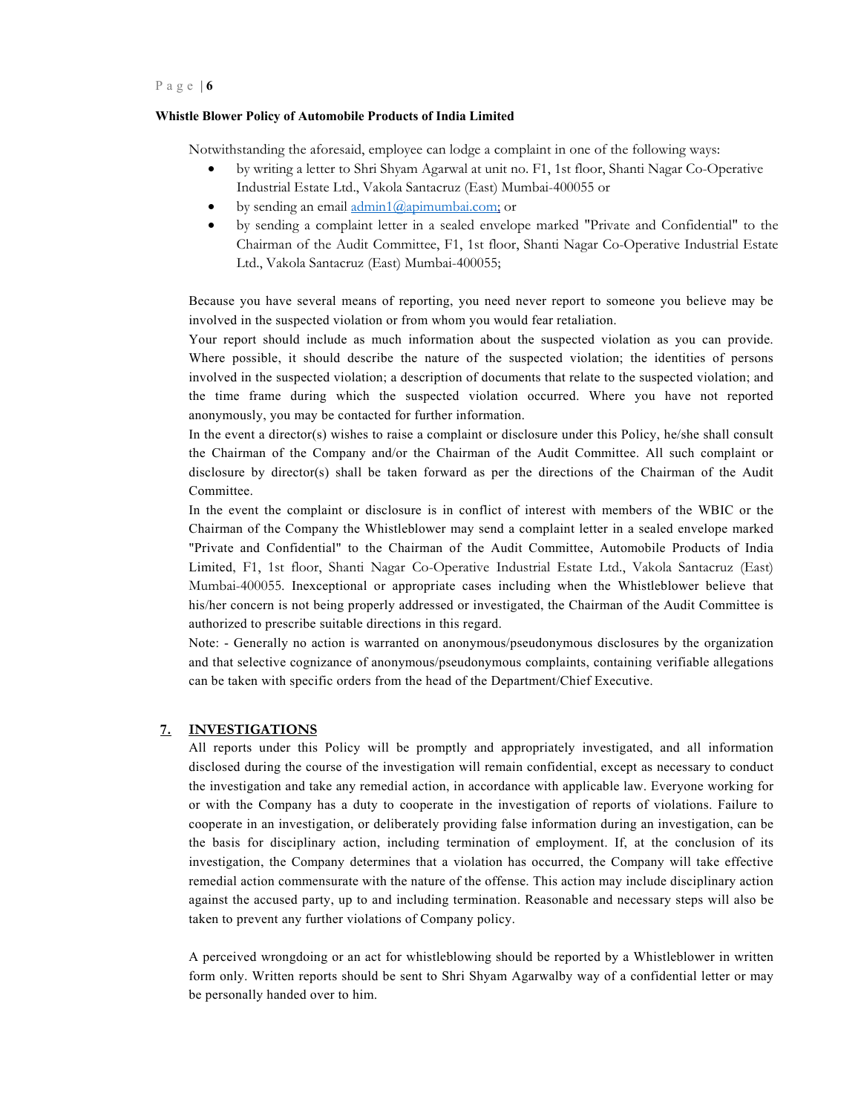#### **Whistle Blower Policy of Automobile Products of India Limited**

Notwithstanding the aforesaid, employee can lodge a complaint in one of the following ways:

- by writing a letter to Shri Shyam Agarwal at unit no. F1, 1st floor, Shanti Nagar Co-Operative Industrial Estate Ltd., Vakola Santacruz (East) Mumbai-400055 or
- by sending an email admin1@apimumbai.com; or
- by sending a complaint letter in a sealed envelope marked "Private and Confidential" to the Chairman of the Audit Committee, F1, 1st floor, Shanti Nagar Co-Operative Industrial Estate Ltd., Vakola Santacruz (East) Mumbai-400055;

Because you have several means of reporting, you need never report to someone you believe may be involved in the suspected violation or from whom you would fear retaliation.

Your report should include as much information about the suspected violation as you can provide. Where possible, it should describe the nature of the suspected violation; the identities of persons involved in the suspected violation; a description of documents that relate to the suspected violation; and the time frame during which the suspected violation occurred. Where you have not reported anonymously, you may be contacted for further information.

In the event a director(s) wishes to raise a complaint or disclosure under this Policy, he/she shall consult the Chairman of the Company and/or the Chairman of the Audit Committee. All such complaint or disclosure by director(s) shall be taken forward as per the directions of the Chairman of the Audit Committee.

In the event the complaint or disclosure is in conflict of interest with members of the WBIC or the Chairman of the Company the Whistleblower may send a complaint letter in a sealed envelope marked "Private and Confidential" to the Chairman of the Audit Committee, Automobile Products of India Limited, F1, 1st floor, Shanti Nagar Co-Operative Industrial Estate Ltd., Vakola Santacruz (East) Mumbai-400055. Inexceptional or appropriate cases including when the Whistleblower believe that his/her concern is not being properly addressed or investigated, the Chairman of the Audit Committee is authorized to prescribe suitable directions in this regard.

Note: - Generally no action is warranted on anonymous/pseudonymous disclosures by the organization and that selective cognizance of anonymous/pseudonymous complaints, containing verifiable allegations can be taken with specific orders from the head of the Department/Chief Executive.

#### **7. INVESTIGATIONS**

All reports under this Policy will be promptly and appropriately investigated, and all information disclosed during the course of the investigation will remain confidential, except as necessary to conduct the investigation and take any remedial action, in accordance with applicable law. Everyone working for or with the Company has a duty to cooperate in the investigation of reports of violations. Failure to cooperate in an investigation, or deliberately providing false information during an investigation, can be the basis for disciplinary action, including termination of employment. If, at the conclusion of its investigation, the Company determines that a violation has occurred, the Company will take effective remedial action commensurate with the nature of the offense. This action may include disciplinary action against the accused party, up to and including termination. Reasonable and necessary steps will also be taken to prevent any further violations of Company policy.

A perceived wrongdoing or an act for whistleblowing should be reported by a Whistleblower in written form only. Written reports should be sent to Shri Shyam Agarwalby way of a confidential letter or may be personally handed over to him.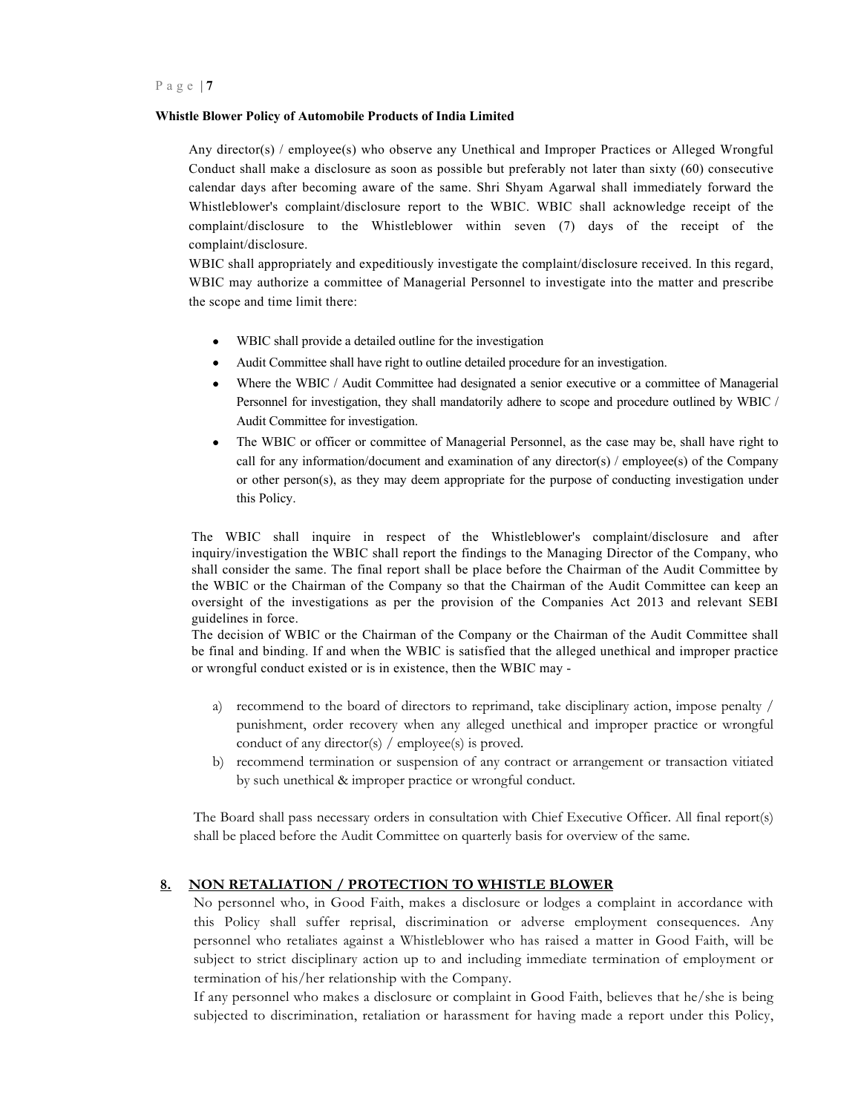Any director(s) / employee(s) who observe any Unethical and Improper Practices or Alleged Wrongful Conduct shall make a disclosure as soon as possible but preferably not later than sixty (60) consecutive calendar days after becoming aware of the same. Shri Shyam Agarwal shall immediately forward the Whistleblower's complaint/disclosure report to the WBIC. WBIC shall acknowledge receipt of the complaint/disclosure to the Whistleblower within seven (7) days of the receipt of the complaint/disclosure.

WBIC shall appropriately and expeditiously investigate the complaint/disclosure received. In this regard, WBIC may authorize a committee of Managerial Personnel to investigate into the matter and prescribe the scope and time limit there:

- WBIC shall provide a detailed outline for the investigation
- Audit Committee shall have right to outline detailed procedure for an investigation.
- Where the WBIC / Audit Committee had designated a senior executive or a committee of Managerial Personnel for investigation, they shall mandatorily adhere to scope and procedure outlined by WBIC / Audit Committee for investigation.
- The WBIC or officer or committee of Managerial Personnel, as the case may be, shall have right to call for any information/document and examination of any director(s) / employee(s) of the Company or other person(s), as they may deem appropriate for the purpose of conducting investigation under this Policy.

The WBIC shall inquire in respect of the Whistleblower's complaint/disclosure and after inquiry/investigation the WBIC shall report the findings to the Managing Director of the Company, who shall consider the same. The final report shall be place before the Chairman of the Audit Committee by the WBIC or the Chairman of the Company so that the Chairman of the Audit Committee can keep an oversight of the investigations as per the provision of the Companies Act 2013 and relevant SEBI guidelines in force.

The decision of WBIC or the Chairman of the Company or the Chairman of the Audit Committee shall be final and binding. If and when the WBIC is satisfied that the alleged unethical and improper practice or wrongful conduct existed or is in existence, then the WBIC may -

- a) recommend to the board of directors to reprimand, take disciplinary action, impose penalty / punishment, order recovery when any alleged unethical and improper practice or wrongful conduct of any director(s) / employee(s) is proved.
- b) recommend termination or suspension of any contract or arrangement or transaction vitiated by such unethical & improper practice or wrongful conduct.

The Board shall pass necessary orders in consultation with Chief Executive Officer. All final report(s) shall be placed before the Audit Committee on quarterly basis for overview of the same.

# **8. NON RETALIATION / PROTECTION TO WHISTLE BLOWER**

No personnel who, in Good Faith, makes a disclosure or lodges a complaint in accordance with this Policy shall suffer reprisal, discrimination or adverse employment consequences. Any personnel who retaliates against a Whistleblower who has raised a matter in Good Faith, will be subject to strict disciplinary action up to and including immediate termination of employment or termination of his/her relationship with the Company.

If any personnel who makes a disclosure or complaint in Good Faith, believes that he/she is being subjected to discrimination, retaliation or harassment for having made a report under this Policy,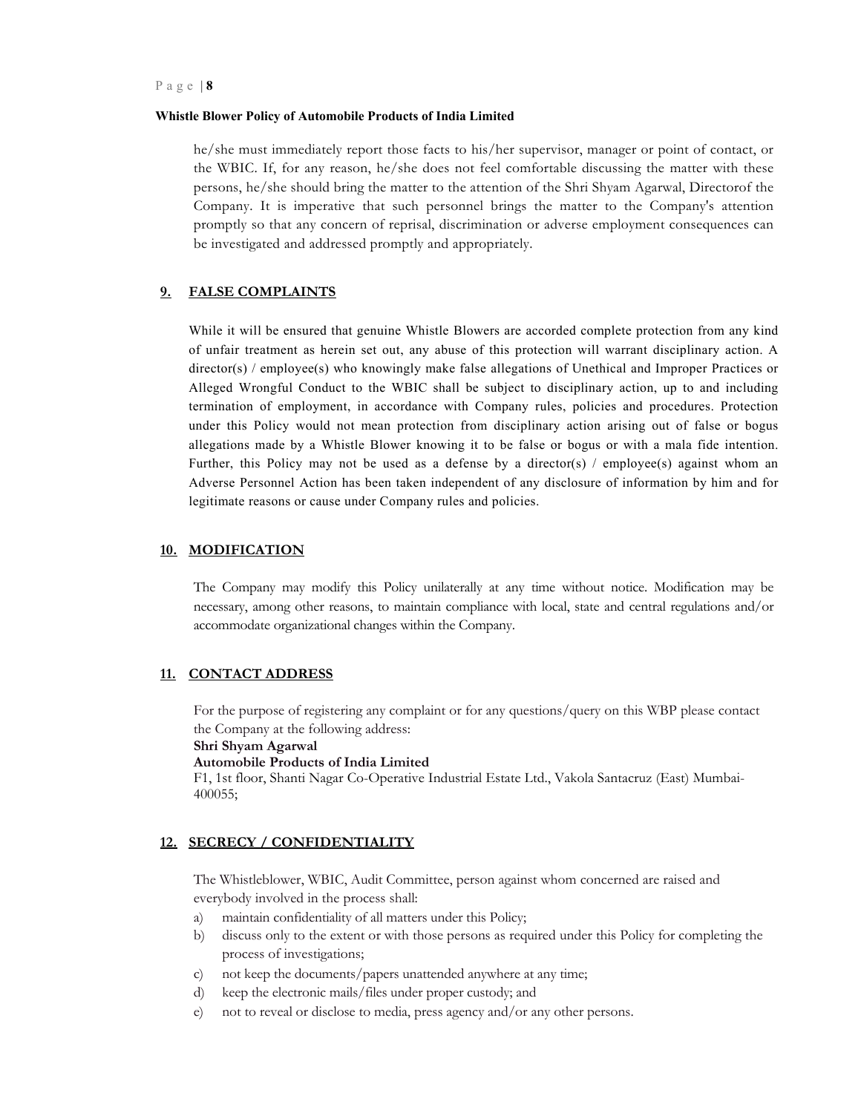he/she must immediately report those facts to his/her supervisor, manager or point of contact, or the WBIC. If, for any reason, he/she does not feel comfortable discussing the matter with these persons, he/she should bring the matter to the attention of the Shri Shyam Agarwal, Directorof the Company. It is imperative that such personnel brings the matter to the Company's attention promptly so that any concern of reprisal, discrimination or adverse employment consequences can be investigated and addressed promptly and appropriately.

#### **9. FALSE COMPLAINTS**

While it will be ensured that genuine Whistle Blowers are accorded complete protection from any kind of unfair treatment as herein set out, any abuse of this protection will warrant disciplinary action. A director(s) / employee(s) who knowingly make false allegations of Unethical and Improper Practices or Alleged Wrongful Conduct to the WBIC shall be subject to disciplinary action, up to and including termination of employment, in accordance with Company rules, policies and procedures. Protection under this Policy would not mean protection from disciplinary action arising out of false or bogus allegations made by a Whistle Blower knowing it to be false or bogus or with a mala fide intention. Further, this Policy may not be used as a defense by a director(s) / employee(s) against whom an Adverse Personnel Action has been taken independent of any disclosure of information by him and for legitimate reasons or cause under Company rules and policies.

#### **10. MODIFICATION**

The Company may modify this Policy unilaterally at any time without notice. Modification may be necessary, among other reasons, to maintain compliance with local, state and central regulations and/or accommodate organizational changes within the Company.

#### **11. CONTACT ADDRESS**

For the purpose of registering any complaint or for any questions/query on this WBP please contact the Company at the following address:

**Shri Shyam Agarwal** 

# **Automobile Products of India Limited**

F1, 1st floor, Shanti Nagar Co-Operative Industrial Estate Ltd., Vakola Santacruz (East) Mumbai-400055;

# **12. SECRECY / CONFIDENTIALITY**

The Whistleblower, WBIC, Audit Committee, person against whom concerned are raised and everybody involved in the process shall:

- a) maintain confidentiality of all matters under this Policy;
- b) discuss only to the extent or with those persons as required under this Policy for completing the process of investigations;
- c) not keep the documents/papers unattended anywhere at any time;
- d) keep the electronic mails/files under proper custody; and
- e) not to reveal or disclose to media, press agency and/or any other persons.